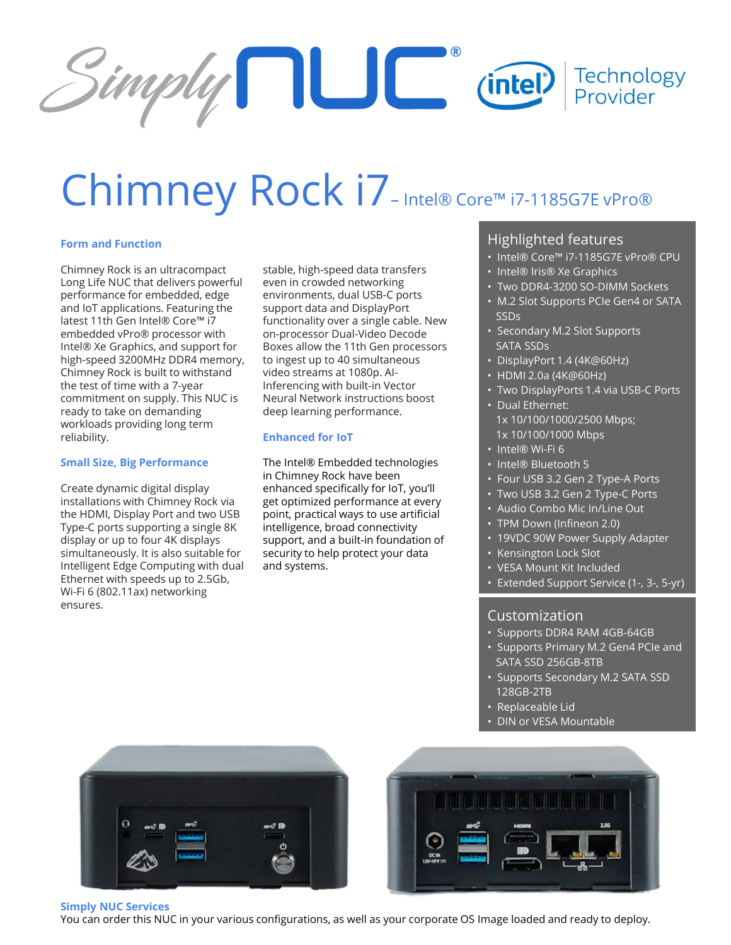

# Chimney Rock i7-Intel® Core™ i7-1185G7E vPro®

### **Form and Function**

Chimney Rock is an ultracompact Long Life NUC that delivers powerful performance for embedded, edge and IoT applications. Featuring the latest 11th Gen Intel® Core™ i7 embedded vPro® processor with Intel® Xe Graphics, and support for high-speed 3200MHz DDR4 memory, Chimney Rock is built to withstand the test of time with a 7-year commitment on supply. This NUC is ready to take on demanding workloads providing long term reliability.

#### **Small Size, Big Performance**

Create dynamic digital display installations with Chimney Rock via the HDMI, Display Port and two USB Type-C ports supporting a single 8K display or up to four 4K displays simultaneously. It is also suitable for Intelligent Edge Computing with dual Ethernet with speeds up to 2.5Gb, Wi-Fi 6 (802.11ax) networking ensures.

stable, high-speed data transfers even in crowded networking environments, dual USB-C ports support data and DisplayPort functionality over a single cable. New on-processor Dual-Video Decode Boxes allow the 11th Gen processors to ingest up to 40 simultaneous video streams at 1080p. AI-Inferencing with built-in Vector Neural Network instructions boost deep learning performance.

#### **Enhanced for IoT**

The Intel® Embedded technologies in Chimney Rock have been enhanced specifically for IoT, you'll get optimized performance at every point, practical ways to use artificial intelligence, broad connectivity support, and a built-in foundation of security to help protect your data and systems.

## Highlighted features

- Intel® Core™ i7-1185G7E vPro® CPU
- Intel® Iris® Xe Graphics
- Two DDR4-3200 SO-DIMM Sockets
- M.2 Slot Supports PCIe Gen4 or SATA SSDs
- Secondary M.2 Slot Supports SATA SSDs
- DisplayPort 1.4 (4K@60Hz)
- HDMI 2.0a (4K@60Hz)
- Two DisplayPorts 1.4 via USB-C Ports
- Dual Ethernet: 1x 10/100/1000/2500 Mbps; 1x 10/100/1000 Mbps
- Intel® Wi-Fi 6
- Intel® Bluetooth 5
- Four USB 3.2 Gen 2 Type-A Ports
- Two USB 3.2 Gen 2 Type-C Ports
- Audio Combo Mic In/Line Out
- TPM Down (Infineon 2.0)
- 19VDC 90W Power Supply Adapter
- Kensington Lock Slot
- VESA Mount Kit Included
- Extended Support Service (1-, 3-, 5-yr)

## Customization

- Supports DDR4 RAM 4GB-64GB
- Supports Primary M.2 Gen4 PCIe and SATA SSD 256GB-8TB
- Supports Secondary M.2 SATA SSD 128GB-2TB
- Replaceable Lid
- DIN or VESA Mountable





**Simply NUC Services**

You can order this NUC in your various configurations, as well as your corporate OS Image loaded and ready to deploy.